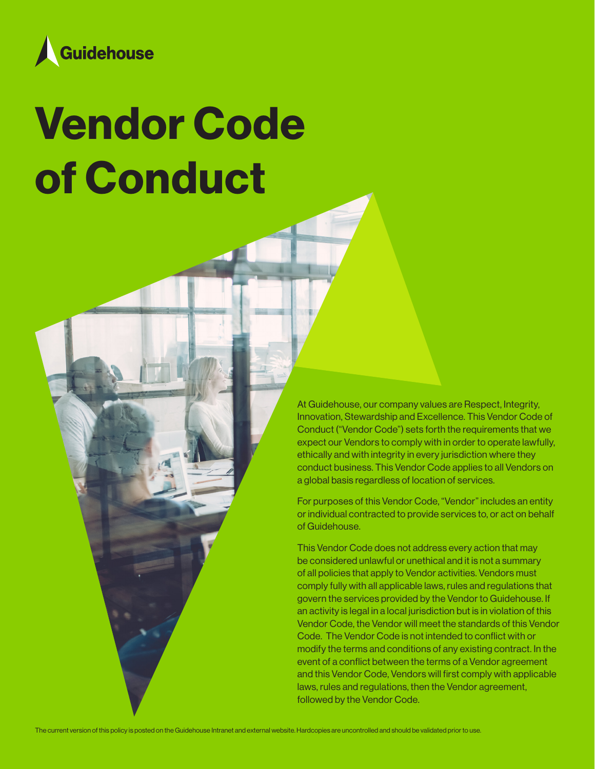

# Vendor Code of Conduct

At Guidehouse, our company values are Respect, Integrity, Innovation, Stewardship and Excellence. This Vendor Code of Conduct ("Vendor Code") sets forth the requirements that we expect our Vendors to comply with in order to operate lawfully, ethically and with integrity in every jurisdiction where they conduct business. This Vendor Code applies to all Vendors on a global basis regardless of location of services.

For purposes of this Vendor Code, "Vendor" includes an entity or individual contracted to provide services to, or act on behalf of Guidehouse.

This Vendor Code does not address every action that may be considered unlawful or unethical and it is not a summary of all policies that apply to Vendor activities. Vendors must comply fully with all applicable laws, rules and regulations that govern the services provided by the Vendor to Guidehouse. If an activity is legal in a local jurisdiction but is in violation of this Vendor Code, the Vendor will meet the standards of this Vendor Code. The Vendor Code is not intended to conflict with or modify the terms and conditions of any existing contract. In the event of a conflict between the terms of a Vendor agreement and this Vendor Code, Vendors will first comply with applicable laws, rules and regulations, then the Vendor agreement, followed by the Vendor Code.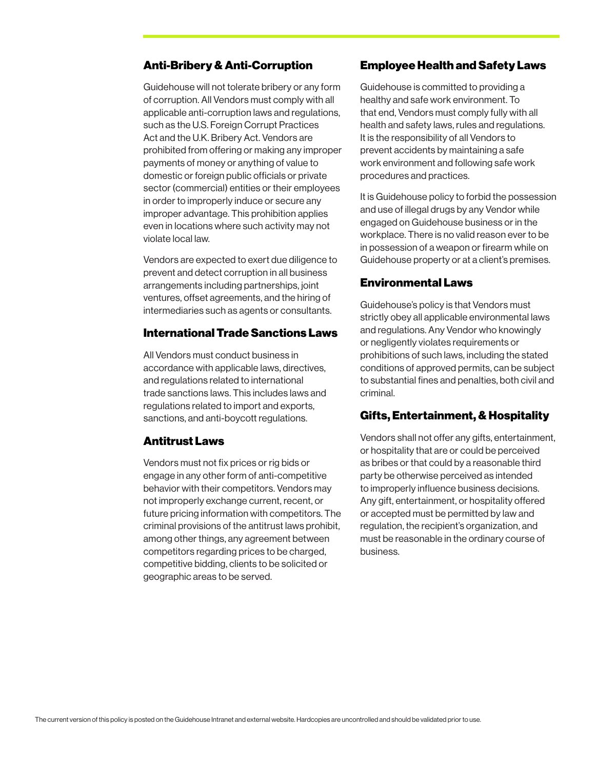#### Anti-Bribery & Anti-Corruption

Guidehouse will not tolerate bribery or any form of corruption. All Vendors must comply with all applicable anti-corruption laws and regulations, such as the U.S. Foreign Corrupt Practices Act and the U.K. Bribery Act. Vendors are prohibited from offering or making any improper payments of money or anything of value to domestic or foreign public officials or private sector (commercial) entities or their employees in order to improperly induce or secure any improper advantage. This prohibition applies even in locations where such activity may not violate local law.

Vendors are expected to exert due diligence to prevent and detect corruption in all business arrangements including partnerships, joint ventures, offset agreements, and the hiring of intermediaries such as agents or consultants.

## International Trade Sanctions Laws

All Vendors must conduct business in accordance with applicable laws, directives, and regulations related to international trade sanctions laws. This includes laws and regulations related to import and exports, sanctions, and anti-boycott regulations.

#### Antitrust Laws

Vendors must not fix prices or rig bids or engage in any other form of anti-competitive behavior with their competitors. Vendors may not improperly exchange current, recent, or future pricing information with competitors. The criminal provisions of the antitrust laws prohibit, among other things, any agreement between competitors regarding prices to be charged, competitive bidding, clients to be solicited or geographic areas to be served.

#### Employee Health and Safety Laws

Guidehouse is committed to providing a healthy and safe work environment. To that end, Vendors must comply fully with all health and safety laws, rules and regulations. It is the responsibility of all Vendors to prevent accidents by maintaining a safe work environment and following safe work procedures and practices.

It is Guidehouse policy to forbid the possession and use of illegal drugs by any Vendor while engaged on Guidehouse business or in the workplace. There is no valid reason ever to be in possession of a weapon or firearm while on Guidehouse property or at a client's premises.

#### Environmental Laws

Guidehouse's policy is that Vendors must strictly obey all applicable environmental laws and regulations. Any Vendor who knowingly or negligently violates requirements or prohibitions of such laws, including the stated conditions of approved permits, can be subject to substantial fines and penalties, both civil and criminal.

#### Gifts, Entertainment, & Hospitality

Vendors shall not offer any gifts, entertainment, or hospitality that are or could be perceived as bribes or that could by a reasonable third party be otherwise perceived as intended to improperly influence business decisions. Any gift, entertainment, or hospitality offered or accepted must be permitted by law and regulation, the recipient's organization, and must be reasonable in the ordinary course of business.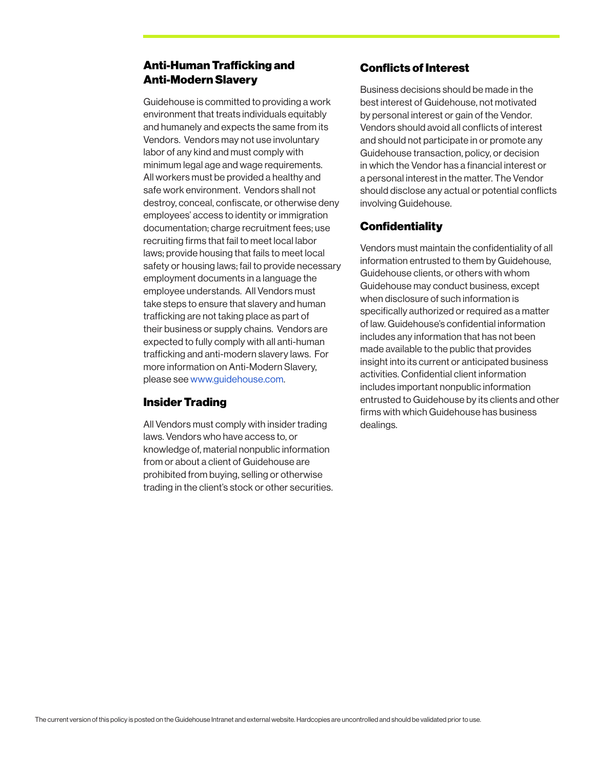# Anti-Human Trafficking and Anti-Modern Slavery

Guidehouse is committed to providing a work environment that treats individuals equitably and humanely and expects the same from its Vendors. Vendors may not use involuntary labor of any kind and must comply with minimum legal age and wage requirements. All workers must be provided a healthy and safe work environment. Vendors shall not destroy, conceal, confiscate, or otherwise deny employees' access to identity or immigration documentation; charge recruitment fees; use recruiting firms that fail to meet local labor laws; provide housing that fails to meet local safety or housing laws; fail to provide necessary employment documents in a language the employee understands. All Vendors must take steps to ensure that slavery and human trafficking are not taking place as part of their business or supply chains. Vendors are expected to fully comply with all anti-human trafficking and anti-modern slavery laws. For more information on Anti-Modern Slavery, please see www.guidehouse.com.

## Insider Trading

All Vendors must comply with insider trading laws. Vendors who have access to, or knowledge of, material nonpublic information from or about a client of Guidehouse are prohibited from buying, selling or otherwise trading in the client's stock or other securities.

# Conflicts of Interest

Business decisions should be made in the best interest of Guidehouse, not motivated by personal interest or gain of the Vendor. Vendors should avoid all conflicts of interest and should not participate in or promote any Guidehouse transaction, policy, or decision in which the Vendor has a financial interest or a personal interest in the matter. The Vendor should disclose any actual or potential conflicts involving Guidehouse.

## **Confidentiality**

Vendors must maintain the confidentiality of all information entrusted to them by Guidehouse, Guidehouse clients, or others with whom Guidehouse may conduct business, except when disclosure of such information is specifically authorized or required as a matter of law. Guidehouse's confidential information includes any information that has not been made available to the public that provides insight into its current or anticipated business activities. Confidential client information includes important nonpublic information entrusted to Guidehouse by its clients and other firms with which Guidehouse has business dealings.